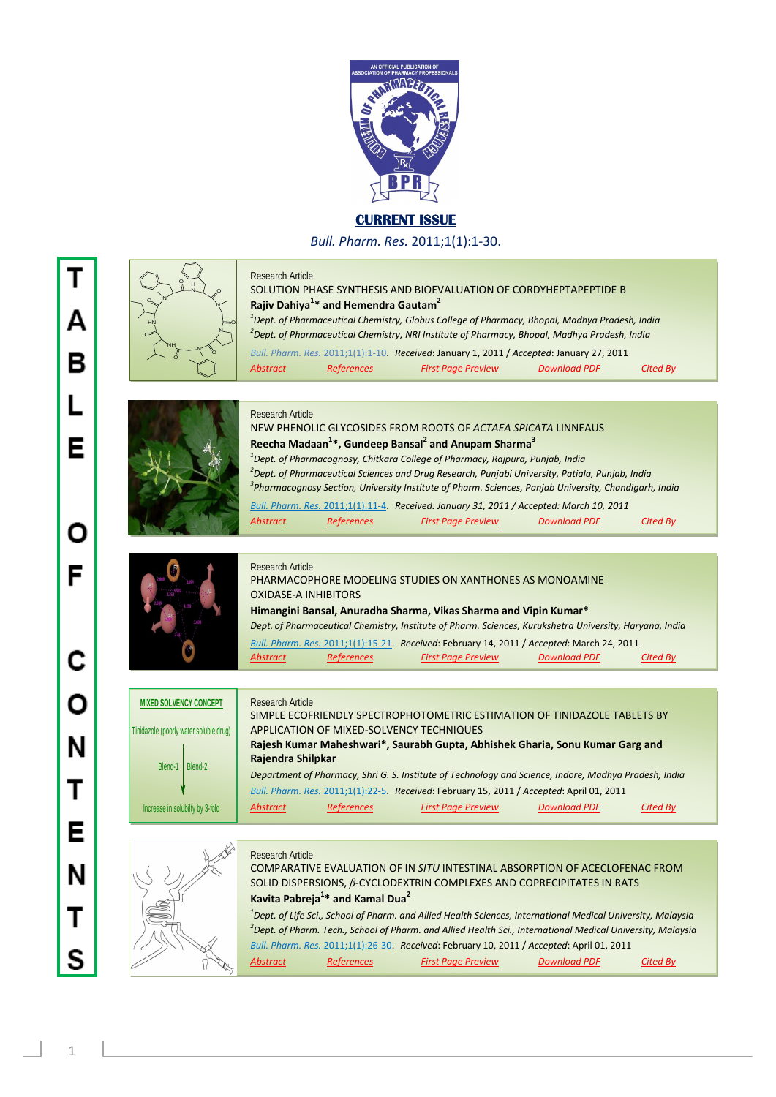

## **CURRENT ISSUE**

*Bull. Pharm. Res.* 2011;1(1):1-30.



1

Τ

Δ

В

Е

Ω

F

C

Ο

N

Т

Е

N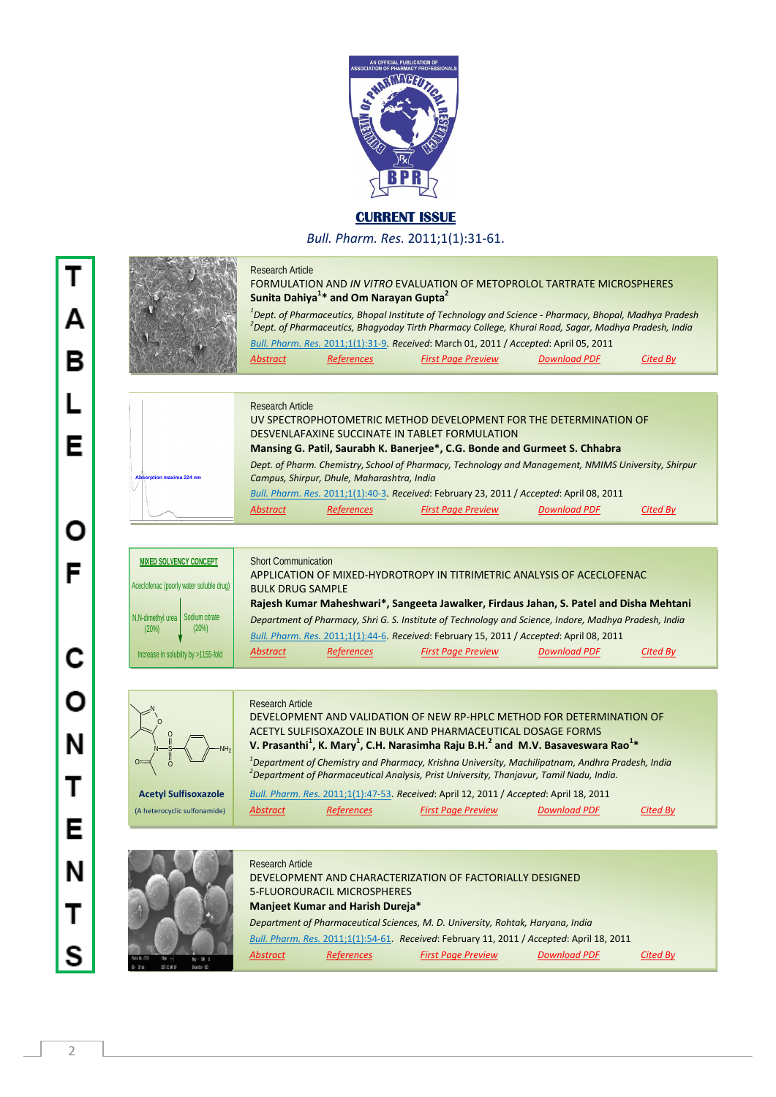

## **CURRENT ISSUE**

*Bull. Pharm. Res.* 2011;1(1):31-61.